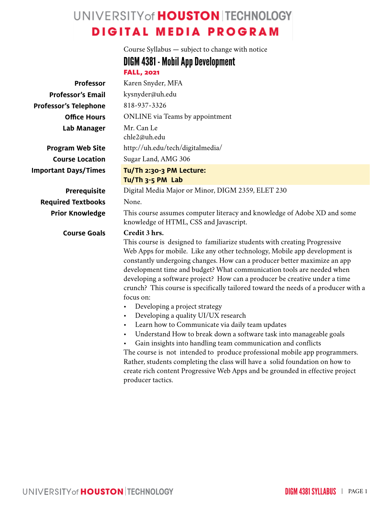# UNIVERSITY of **HOUSTON** TECHNOLOGY **DIGITAL MEDIA PROGRAM**

|                              | Course Syllabus - subject to change with notice                                                                                                                                                                                                                                                                                                                                                                                                                                                                                                                                                                                                                                                                                                                                                                                                                                                                                                                                                                                                                                           |  |  |  |  |  |
|------------------------------|-------------------------------------------------------------------------------------------------------------------------------------------------------------------------------------------------------------------------------------------------------------------------------------------------------------------------------------------------------------------------------------------------------------------------------------------------------------------------------------------------------------------------------------------------------------------------------------------------------------------------------------------------------------------------------------------------------------------------------------------------------------------------------------------------------------------------------------------------------------------------------------------------------------------------------------------------------------------------------------------------------------------------------------------------------------------------------------------|--|--|--|--|--|
|                              | <b>DIGM 4381 - Mobil App Development</b>                                                                                                                                                                                                                                                                                                                                                                                                                                                                                                                                                                                                                                                                                                                                                                                                                                                                                                                                                                                                                                                  |  |  |  |  |  |
|                              | <b>FALL, 2021</b>                                                                                                                                                                                                                                                                                                                                                                                                                                                                                                                                                                                                                                                                                                                                                                                                                                                                                                                                                                                                                                                                         |  |  |  |  |  |
| <b>Professor</b>             | Karen Snyder, MFA                                                                                                                                                                                                                                                                                                                                                                                                                                                                                                                                                                                                                                                                                                                                                                                                                                                                                                                                                                                                                                                                         |  |  |  |  |  |
| <b>Professor's Email</b>     | kysnyder@uh.edu                                                                                                                                                                                                                                                                                                                                                                                                                                                                                                                                                                                                                                                                                                                                                                                                                                                                                                                                                                                                                                                                           |  |  |  |  |  |
| <b>Professor's Telephone</b> | 818-937-3326                                                                                                                                                                                                                                                                                                                                                                                                                                                                                                                                                                                                                                                                                                                                                                                                                                                                                                                                                                                                                                                                              |  |  |  |  |  |
| <b>Office Hours</b>          | <b>ONLINE</b> via Teams by appointment                                                                                                                                                                                                                                                                                                                                                                                                                                                                                                                                                                                                                                                                                                                                                                                                                                                                                                                                                                                                                                                    |  |  |  |  |  |
| Lab Manager                  | Mr. Can Le<br>chle2@uh.edu                                                                                                                                                                                                                                                                                                                                                                                                                                                                                                                                                                                                                                                                                                                                                                                                                                                                                                                                                                                                                                                                |  |  |  |  |  |
| <b>Program Web Site</b>      | http://uh.edu/tech/digitalmedia/                                                                                                                                                                                                                                                                                                                                                                                                                                                                                                                                                                                                                                                                                                                                                                                                                                                                                                                                                                                                                                                          |  |  |  |  |  |
| <b>Course Location</b>       | Sugar Land, AMG 306                                                                                                                                                                                                                                                                                                                                                                                                                                                                                                                                                                                                                                                                                                                                                                                                                                                                                                                                                                                                                                                                       |  |  |  |  |  |
| <b>Important Days/Times</b>  | Tu/Th 2:30-3 PM Lecture:<br>Tu/Th 3-5 PM Lab                                                                                                                                                                                                                                                                                                                                                                                                                                                                                                                                                                                                                                                                                                                                                                                                                                                                                                                                                                                                                                              |  |  |  |  |  |
| <b>Prerequisite</b>          | Digital Media Major or Minor, DIGM 2359, ELET 230                                                                                                                                                                                                                                                                                                                                                                                                                                                                                                                                                                                                                                                                                                                                                                                                                                                                                                                                                                                                                                         |  |  |  |  |  |
| <b>Required Textbooks</b>    | None.                                                                                                                                                                                                                                                                                                                                                                                                                                                                                                                                                                                                                                                                                                                                                                                                                                                                                                                                                                                                                                                                                     |  |  |  |  |  |
| <b>Prior Knowledge</b>       | This course assumes computer literacy and knowledge of Adobe XD and some<br>knowledge of HTML, CSS and Javascript.                                                                                                                                                                                                                                                                                                                                                                                                                                                                                                                                                                                                                                                                                                                                                                                                                                                                                                                                                                        |  |  |  |  |  |
| <b>Course Goals</b>          | Credit 3 hrs.<br>This course is designed to familiarize students with creating Progressive<br>Web Apps for mobile. Like any other technology, Mobile app development is<br>constantly undergoing changes. How can a producer better maximize an app<br>development time and budget? What communication tools are needed when<br>developing a software project? How can a producer be creative under a time<br>crunch? This course is specifically tailored toward the needs of a producer with a<br>focus on:<br>Developing a project strategy<br>$\bullet$<br>Developing a quality UI/UX research<br>$\bullet$<br>Learn how to Communicate via daily team updates<br>$\bullet$<br>Understand How to break down a software task into manageable goals<br>Gain insights into handling team communication and conflicts<br>The course is not intended to produce professional mobile app programmers.<br>Rather, students completing the class will have a solid foundation on how to<br>create rich content Progressive Web Apps and be grounded in effective project<br>producer tactics. |  |  |  |  |  |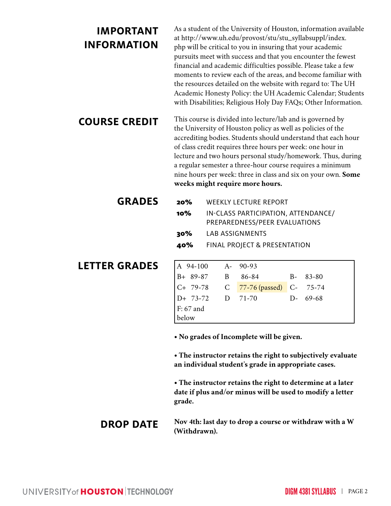# **IMPORTANT INFORMATION**

As a student of the University of Houston, information available at http://www.uh.edu/provost/stu/stu\_syllabsuppl/index. php will be critical to you in insuring that your academic pursuits meet with success and that you encounter the fewest financial and academic difficulties possible. Please take a few moments to review each of the areas, and become familiar with the resources detailed on the website with regard to: The UH Academic Honesty Policy: the UH Academic Calendar; Students with Disabilities; Religious Holy Day FAQs; Other Information.

**COURSE CREDIT** This course is divided into lecture/lab and is governed by the University of Houston policy as well as policies of the accrediting bodies. Students should understand that each hour of class credit requires three hours per week: one hour in lecture and two hours personal study/homework. Thus, during a regular semester a three-hour course requires a minimum nine hours per week: three in class and six on your own. **Some weeks might require more hours.**

| <b>GRADES</b> |     | <b>20%</b> WEEKLY LECTURE REPORT                                     |
|---------------|-----|----------------------------------------------------------------------|
|               | 10% | IN-CLASS PARTICIPATION, ATTENDANCE/<br>PREPAREDNESS/PEER EVALUATIONS |
|               | 30% | LAB ASSIGNMENTS                                                      |
|               |     | <b>40%</b> FINAL PROJECT & PRESENTATION                              |

# **LETTER GRADES**

| A 94-100 A- 90-93  |                                    |          |
|--------------------|------------------------------------|----------|
|                    | B+ 89-87 B 86-84 B- 83-80          |          |
|                    | C+ 79-78 C 77-76 (passed) C- 75-74 |          |
| $D+ 73-72$ D 71-70 |                                    | D- 69-68 |
| $F: 67$ and        |                                    |          |
| below              |                                    |          |

**• No grades of Incomplete will be given.**

**• The instructor retains the right to subjectively evaluate an individual student's grade in appropriate cases.**

**• The instructor retains the right to determine at a later date if plus and/or minus will be used to modify a letter grade.**

# **DROP DATE Nov 4th: last day to drop a course or withdraw with a W (Withdrawn).**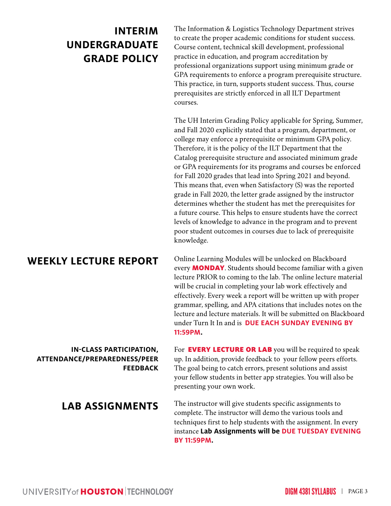# **INTERIM UNDERGRADUATE GRADE POLICY**

The Information & Logistics Technology Department strives to create the proper academic conditions for student success. Course content, technical skill development, professional practice in education, and program accreditation by professional organizations support using minimum grade or GPA requirements to enforce a program prerequisite structure. This practice, in turn, supports student success. Thus, course prerequisites are strictly enforced in all ILT Department courses.

The UH Interim Grading Policy applicable for Spring, Summer, and Fall 2020 explicitly stated that a program, department, or college may enforce a prerequisite or minimum GPA policy. Therefore, it is the policy of the ILT Department that the Catalog prerequisite structure and associated minimum grade or GPA requirements for its programs and courses be enforced for Fall 2020 grades that lead into Spring 2021 and beyond. This means that, even when Satisfactory (S) was the reported grade in Fall 2020, the letter grade assigned by the instructor determines whether the student has met the prerequisites for a future course. This helps to ensure students have the correct levels of knowledge to advance in the program and to prevent poor student outcomes in courses due to lack of prerequisite knowledge.

**WEEKLY LECTURE REPORT** Online Learning Modules will be unlocked on Blackboard every **MONDAY**. Students should become familiar with a given lecture PRIOR to coming to the lab. The online lecture material will be crucial in completing your lab work effectively and effectively. Every week a report will be written up with proper grammar, spelling, and APA citations that includes notes on the lecture and lecture materials. It will be submitted on Blackboard under Turn It In and is **DUE EACH SUNDAY EVENING BY 11:59PM.**

# **IN-CLASS PARTICIPATION, ATTENDANCE/PREPAREDNESS/PEER FEEDBACK**

For **EVERY LECTURE OR LAB** you will be required to speak up. In addition, provide feedback to your fellow peers efforts. The goal being to catch errors, present solutions and assist your fellow students in better app strategies. You will also be presenting your own work.

**LAB ASSIGNMENTS** The instructor will give students specific assignments to complete. The instructor will demo the various tools and techniques first to help students with the assignment. In every instance **Lab Assignments will be DUE TUESDAY EVENING BY 11:59PM.**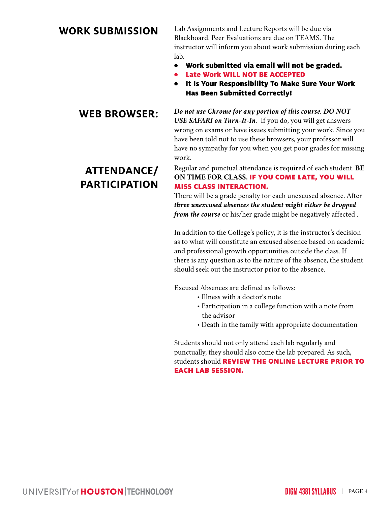**WORK SUBMISSION** Lab Assignments and Lecture Reports will be due via Blackboard. Peer Evaluations are due on TEAMS. The instructor will inform you about work submission during each lab.

- Work submitted via email will not be graded.
- Late Work WILL NOT BE ACCEPTED
- It Is Your Responsibility To Make Sure Your Work Has Been Submitted Correctly!

**WEB BROWSER:** *Do not use Chrome for any portion of this course. DO NOT USE SAFARI on Turn-It-In.* If you do, you will get answers wrong on exams or have issues submitting your work. Since you have been told not to use these browsers, your professor will have no sympathy for you when you get poor grades for missing work.

## **ATTENDANCE/ PARTICIPATION** Regular and punctual attendance is required of each student. **BE ON TIME FOR CLASS.** IF YOU COME LATE, YOU WILL MISS CLASS INTERACTION.

There will be a grade penalty for each unexcused absence. After *three unexcused absences the student might either be dropped from the course* or his/her grade might be negatively affected .

In addition to the College's policy, it is the instructor's decision as to what will constitute an excused absence based on academic and professional growth opportunities outside the class. If there is any question as to the nature of the absence, the student should seek out the instructor prior to the absence.

Excused Absences are defined as follows:

- Illness with a doctor's note
- Participation in a college function with a note from the advisor
- Death in the family with appropriate documentation

Students should not only attend each lab regularly and punctually, they should also come the lab prepared. As such, students should **REVIEW THE ONLINE LECTURE PRIOR TO** EACH LAB SESSION.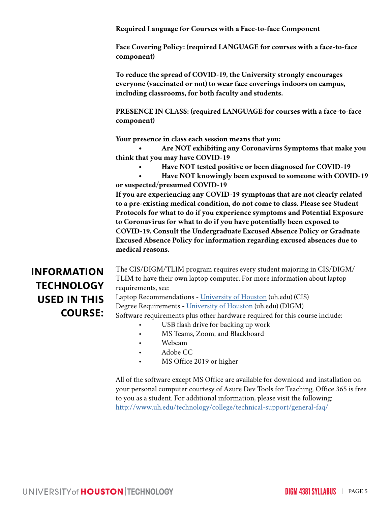**Required Language for Courses with a Face-to-face Component**

**Face Covering Policy: (required LANGUAGE for courses with a face-to-face component)**

**To reduce the spread of COVID-19, the University strongly encourages everyone (vaccinated or not) to wear face coverings indoors on campus, including classrooms, for both faculty and students.**

**PRESENCE IN CLASS: (required LANGUAGE for courses with a face-to-face component)**

**Your presence in class each session means that you:** 

**• Are NOT exhibiting any Coronavirus Symptoms that make you think that you may have COVID-19**

- **• Have NOT tested positive or been diagnosed for COVID-19**
- **• Have NOT knowingly been exposed to someone with COVID-19 or suspected/presumed COVID-19**

**If you are experiencing any COVID-19 symptoms that are not clearly related to a pre-existing medical condition, do not come to class. Please see Student Protocols for what to do if you experience symptoms and Potential Exposure to Coronavirus for what to do if you have potentially been exposed to COVID-19. Consult the Undergraduate Excused Absence Policy or Graduate Excused Absence Policy for information regarding excused absences due to medical reasons.** 

# **INFORMATION TECHNOLOGY USED IN THIS COURSE:**

The CIS/DIGM/TLIM program requires every student majoring in CIS/DIGM/ TLIM to have their own laptop computer. For more information about laptop requirements, see:

Laptop Recommendations - University of Houston (uh.edu) (CIS) Degree Requirements - University of Houston (uh.edu) (DIGM) Software requirements plus other hardware required for this course include: USB flash drive for backing up work

- 
- MS Teams, Zoom, and Blackboard
- Webcam
- Adobe CC
- MS Office 2019 or higher

All of the software except MS Office are available for download and installation on your personal computer courtesy of Azure Dev Tools for Teaching. Office 365 is free to you as a student. For additional information, please visit the following: http://www.uh.edu/technology/college/technical-support/general-faq/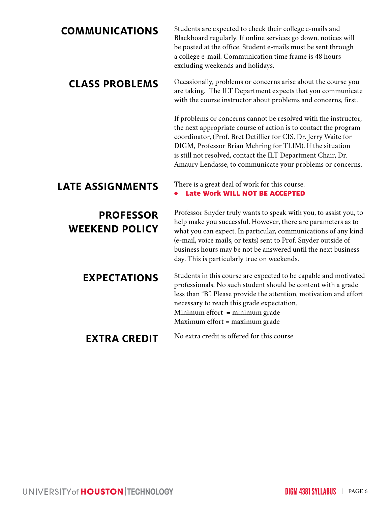**COMMUNICATIONS** Students are expected to check their college e-mails and Blackboard regularly. If online services go down, notices will be posted at the office. Student e-mails must be sent through a college e-mail. Communication time frame is 48 hours excluding weekends and holidays.

**CLASS PROBLEMS** Occasionally, problems or concerns arise about the course you are taking. The ILT Department expects that you communicate with the course instructor about problems and concerns, first.

> If problems or concerns cannot be resolved with the instructor, the next appropriate course of action is to contact the program coordinator, (Prof. Bret Detillier for CIS, Dr. Jerry Waite for DIGM, Professor Brian Mehring for TLIM). If the situation is still not resolved, contact the ILT Department Chair, Dr. Amaury Lendasse, to communicate your problems or concerns.

**LATE ASSIGNMENTS** There is a great deal of work for this course. Late Work WILL NOT BE ACCEPTED

**PROFESSOR WEEKEND POLICY** Professor Snyder truly wants to speak with you, to assist you, to help make you successful. However, there are parameters as to what you can expect. In particular, communications of any kind (e-mail, voice mails, or texts) sent to Prof. Snyder outside of business hours may be not be answered until the next business day. This is particularly true on weekends.

**EXPECTATIONS** Students in this course are expected to be capable and motivated professionals. No such student should be content with a grade less than "B". Please provide the attention, motivation and effort necessary to reach this grade expectation. Minimum effort = minimum grade Maximum effort = maximum grade

**EXTRA CREDIT** No extra credit is offered for this course.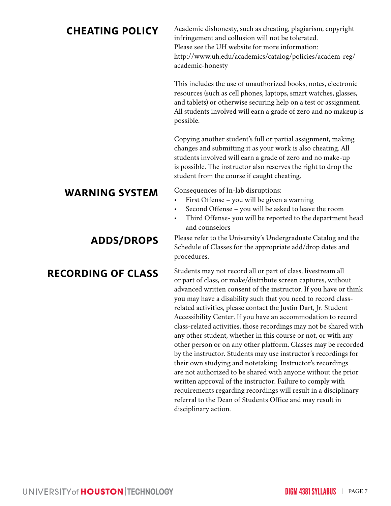**CHEATING POLICY** Academic dishonesty, such as cheating, plagiarism, copyright infringement and collusion will not be tolerated. Please see the UH website for more information: http://www.uh.edu/academics/catalog/policies/academ-reg/ academic-honesty

> This includes the use of unauthorized books, notes, electronic resources (such as cell phones, laptops, smart watches, glasses, and tablets) or otherwise securing help on a test or assignment. All students involved will earn a grade of zero and no makeup is possible.

Copying another student's full or partial assignment, making changes and submitting it as your work is also cheating. All students involved will earn a grade of zero and no make-up is possible. The instructor also reserves the right to drop the student from the course if caught cheating.

# **WARNING SYSTEM** Consequences of In-lab disruptions:<br>First Offense – you will be given

- First Offense you will be given a warning
- Second Offense you will be asked to leave the room
- Third Offense- you will be reported to the department head and counselors

# **ADDS/DROPS** Please refer to the University's Undergraduate Catalog and the Schedule of Classes for the appropriate add/drop dates and procedures.

# **RECORDING OF CLASS** Students may not record all or part of class, livestream all or part of class, or make/distribute screen captures, without advanced written consent of the instructor. If you have or think you may have a disability such that you need to record classrelated activities, please contact the Justin Dart, Jr. Student Accessibility Center. If you have an accommodation to record class-related activities, those recordings may not be shared with any other student, whether in this course or not, or with any other person or on any other platform. Classes may be recorded by the instructor. Students may use instructor's recordings for their own studying and notetaking. Instructor's recordings are not authorized to be shared with anyone without the prior written approval of the instructor. Failure to comply with requirements regarding recordings will result in a disciplinary referral to the Dean of Students Office and may result in disciplinary action.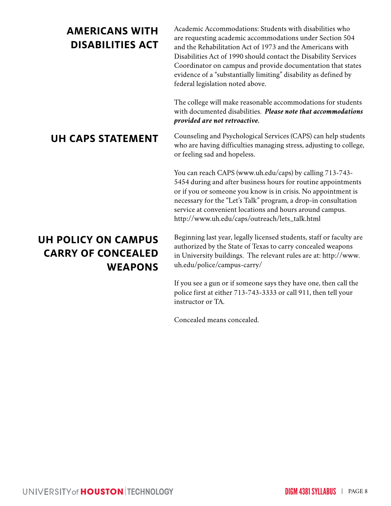# **AMERICANS WITH DISABILITIES ACT**

Academic Accommodations: Students with disabilities who are requesting academic accommodations under Section 504 and the Rehabilitation Act of 1973 and the Americans with Disabilities Act of 1990 should contact the Disability Services Coordinator on campus and provide documentation that states evidence of a "substantially limiting" disability as defined by federal legislation noted above.

The college will make reasonable accommodations for students with documented disabilities. *Please note that accommodations provided are not retroactive.* 

**UH CAPS STATEMENT** Counseling and Psychological Services (CAPS) can help students who are having difficulties managing stress, adjusting to college, or feeling sad and hopeless.

> You can reach CAPS (www.uh.edu/caps) by calling 713-743- 5454 during and after business hours for routine appointments or if you or someone you know is in crisis. No appointment is necessary for the "Let's Talk" program, a drop-in consultation service at convenient locations and hours around campus. http://www.uh.edu/caps/outreach/lets\_talk.html

# **UH POLICY ON CAMPUS CARRY OF CONCEALED WEAPONS**

Beginning last year, legally licensed students, staff or faculty are authorized by the State of Texas to carry concealed weapons in University buildings. The relevant rules are at: http://www. uh.edu/police/campus-carry/

If you see a gun or if someone says they have one, then call the police first at either 713-743-3333 or call 911, then tell your instructor or TA.

Concealed means concealed.